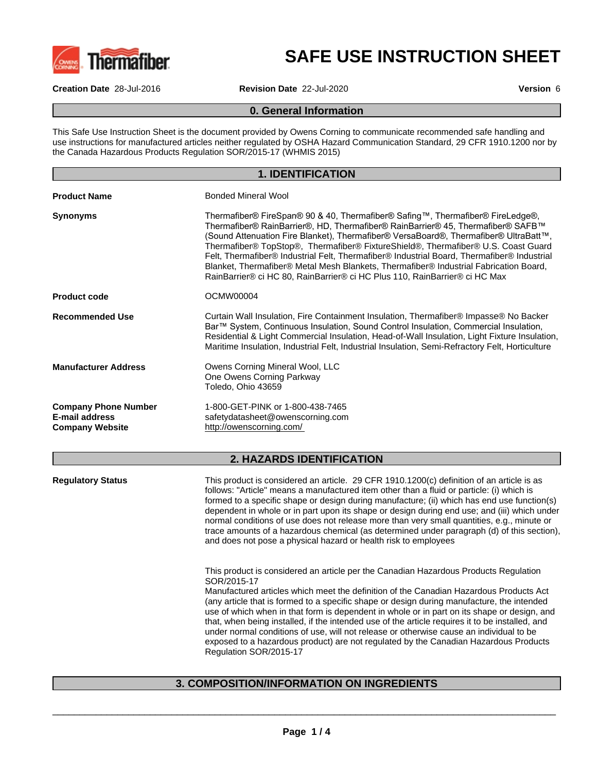

# **SAFE USE INSTRUCTION SHEET**

**Creation Date** 28-Jul-2016 **Revision Date** 22-Jul-2020 **Version** 6

#### **0. General Information**

This Safe Use Instruction Sheet is the document provided by Owens Corning to communicate recommended safe handling and use instructions for manufactured articles neither regulated by OSHA Hazard Communication Standard, 29 CFR 1910.1200 nor by the Canada Hazardous Products Regulation SOR/2015-17 (WHMIS 2015)

|                                                                                | <b>1. IDENTIFICATION</b>                                                                                                                                                                                                                                                                                                                                                                                                                                                                                                                                                                                            |
|--------------------------------------------------------------------------------|---------------------------------------------------------------------------------------------------------------------------------------------------------------------------------------------------------------------------------------------------------------------------------------------------------------------------------------------------------------------------------------------------------------------------------------------------------------------------------------------------------------------------------------------------------------------------------------------------------------------|
| <b>Product Name</b>                                                            | <b>Bonded Mineral Wool</b>                                                                                                                                                                                                                                                                                                                                                                                                                                                                                                                                                                                          |
| <b>Synonyms</b>                                                                | Thermafiber® FireSpan® 90 & 40, Thermafiber® Safing™, Thermafiber® FireLedge®,<br>Thermafiber® RainBarrier®, HD, Thermafiber® RainBarrier® 45, Thermafiber® SAFB™<br>(Sound Attenuation Fire Blanket), Thermafiber® VersaBoard®, Thermafiber® UltraBatt™,<br>Thermafiber® TopStop®, Thermafiber® FixtureShield®, Thermafiber® U.S. Coast Guard<br>Felt, Thermafiber® Industrial Felt, Thermafiber® Industrial Board, Thermafiber® Industrial<br>Blanket, Thermafiber® Metal Mesh Blankets, Thermafiber® Industrial Fabrication Board,<br>RainBarrier® ci HC 80, RainBarrier® ci HC Plus 110, RainBarrier® ci HC Max |
| <b>Product code</b>                                                            | OCMW00004                                                                                                                                                                                                                                                                                                                                                                                                                                                                                                                                                                                                           |
| <b>Recommended Use</b>                                                         | Curtain Wall Insulation, Fire Containment Insulation, Thermafiber® Impasse® No Backer<br>Bar™ System, Continuous Insulation, Sound Control Insulation, Commercial Insulation,<br>Residential & Light Commercial Insulation, Head-of-Wall Insulation, Light Fixture Insulation,<br>Maritime Insulation, Industrial Felt, Industrial Insulation, Semi-Refractory Felt, Horticulture                                                                                                                                                                                                                                   |
| <b>Manufacturer Address</b>                                                    | Owens Corning Mineral Wool, LLC<br>One Owens Corning Parkway<br>Toledo, Ohio 43659                                                                                                                                                                                                                                                                                                                                                                                                                                                                                                                                  |
| <b>Company Phone Number</b><br><b>E-mail address</b><br><b>Company Website</b> | 1-800-GET-PINK or 1-800-438-7465<br>safetydatasheet@owenscorning.com<br>http://owenscorning.com/                                                                                                                                                                                                                                                                                                                                                                                                                                                                                                                    |
|                                                                                | <b>2. HAZARDS IDENTIFICATION</b>                                                                                                                                                                                                                                                                                                                                                                                                                                                                                                                                                                                    |
| <b>Regulatory Status</b>                                                       | This product is considered an article. 29 CFR 1910.1200(c) definition of an article is as<br>follows: "Article" means a manufactured item other than a fluid or particle: (i) which is<br>formed to a specific shape or design during manufacture; (ii) which has end use function(s)<br>dependent in whole or in part upon its shape or design during end use; and (iii) which under<br>normal conditions of use does not release more than very small quantities, e.g., minute or<br>trace amounts of a hazardous chemical (as determined under paragraph (d) of this section),                                   |

This product is considered an article per the Canadian Hazardous Products Regulation SOR/2015-17

and does not pose a physical hazard or health risk to employees

Manufactured articles which meet the definition of the Canadian Hazardous Products Act (any article that is formed to a specific shape or design during manufacture, the intended use of which when in that form is dependent in whole or in part on its shape or design, and that, when being installed, if the intended use of the article requires it to be installed, and under normal conditions of use, will not release or otherwise cause an individual to be exposed to a hazardous product) are not regulated by the Canadian Hazardous Products Regulation SOR/2015-17

 $\overline{\phantom{a}}$  ,  $\overline{\phantom{a}}$  ,  $\overline{\phantom{a}}$  ,  $\overline{\phantom{a}}$  ,  $\overline{\phantom{a}}$  ,  $\overline{\phantom{a}}$  ,  $\overline{\phantom{a}}$  ,  $\overline{\phantom{a}}$  ,  $\overline{\phantom{a}}$  ,  $\overline{\phantom{a}}$  ,  $\overline{\phantom{a}}$  ,  $\overline{\phantom{a}}$  ,  $\overline{\phantom{a}}$  ,  $\overline{\phantom{a}}$  ,  $\overline{\phantom{a}}$  ,  $\overline{\phantom{a}}$ 

# **3. COMPOSITION/INFORMATION ON INGREDIENTS**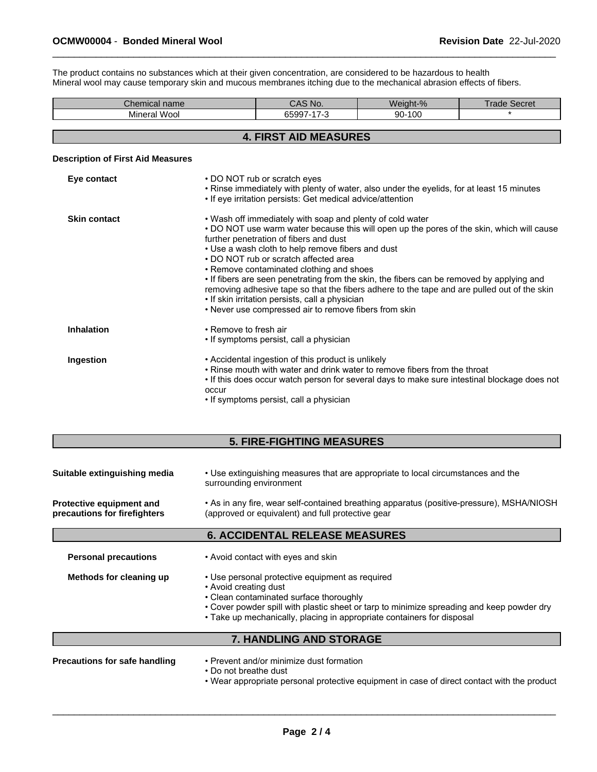The product contains no substances which at their given concentration, are considered to be hazardous to health Mineral wool may cause temporary skin and mucous membranes itching due to the mechanical abrasion effects of fibers.

| Chemical name                            |                                        | CAS No.                                                                                                        | Weight-%                                                                                  | <b>Trade Secret</b>                                                                       |
|------------------------------------------|----------------------------------------|----------------------------------------------------------------------------------------------------------------|-------------------------------------------------------------------------------------------|-------------------------------------------------------------------------------------------|
| Mineral Wool                             |                                        | 65997-17-3                                                                                                     | 90-100                                                                                    |                                                                                           |
|                                          |                                        | <b>4. FIRST AID MEASURES</b>                                                                                   |                                                                                           |                                                                                           |
| <b>Description of First Aid Measures</b> |                                        |                                                                                                                |                                                                                           |                                                                                           |
| Eye contact                              | • DO NOT rub or scratch eyes           | • If eye irritation persists: Get medical advice/attention                                                     | • Rinse immediately with plenty of water, also under the eyelids, for at least 15 minutes |                                                                                           |
| <b>Skin contact</b>                      | further penetration of fibers and dust | . Wash off immediately with soap and plenty of cold water<br>• Use a wash cloth to help remove fibers and dust |                                                                                           | • DO NOT use warm water because this will open up the pores of the skin, which will cause |

• DO NOT rub or scratch affected area

- Remove contaminated clothing and shoes
- If fibers are seen penetrating from the skin, the fibers can be removed by applying and
- removing adhesive tape so that the fibers adhere to the tape and are pulled out of the skin • If skin irritation persists, call a physician
- Never use compressed air to remove fibers from skin

| • Remove to fresh air<br><b>Inhalation</b><br>• If symptoms persist, call a physician                                                                                                                                                                                                            |
|--------------------------------------------------------------------------------------------------------------------------------------------------------------------------------------------------------------------------------------------------------------------------------------------------|
| • Accidental ingestion of this product is unlikely<br>Ingestion<br>• Rinse mouth with water and drink water to remove fibers from the throat<br>• If this does occur watch person for several days to make sure intestinal blockage does not<br>occur<br>• If symptoms persist, call a physician |

# **5. FIRE-FIGHTING MEASURES**

| Suitable extinguishing media | • Use extinguishing measures that are appropriate to local circumstances and the<br>surrounding environment |
|------------------------------|-------------------------------------------------------------------------------------------------------------|
| Protective equipment and     | • As in any fire, wear self-contained breathing apparatus (positive-pressure), MSHA/NIOSH                   |
| precautions for firefighters | (approved or equivalent) and full protective gear                                                           |

# **6. ACCIDENTAL RELEASE MEASURES**

| <b>Personal precautions</b> | • Avoid contact with eyes and skin                                                                                                                                                                                                                                                         |
|-----------------------------|--------------------------------------------------------------------------------------------------------------------------------------------------------------------------------------------------------------------------------------------------------------------------------------------|
| Methods for cleaning up     | • Use personal protective equipment as required<br>• Avoid creating dust<br>• Clean contaminated surface thoroughly<br>• Cover powder spill with plastic sheet or tarp to minimize spreading and keep powder dry<br>• Take up mechanically, placing in appropriate containers for disposal |
|                             | <b>7. HANDLING AND STORAGE</b>                                                                                                                                                                                                                                                             |

| Precautions for safe handling | • Prevent and/or minimize dust formation                                                    |
|-------------------------------|---------------------------------------------------------------------------------------------|
|                               | • Do not breathe dust                                                                       |
|                               | • Wear appropriate personal protective equipment in case of direct contact with the product |

 $\overline{\phantom{a}}$  ,  $\overline{\phantom{a}}$  ,  $\overline{\phantom{a}}$  ,  $\overline{\phantom{a}}$  ,  $\overline{\phantom{a}}$  ,  $\overline{\phantom{a}}$  ,  $\overline{\phantom{a}}$  ,  $\overline{\phantom{a}}$  ,  $\overline{\phantom{a}}$  ,  $\overline{\phantom{a}}$  ,  $\overline{\phantom{a}}$  ,  $\overline{\phantom{a}}$  ,  $\overline{\phantom{a}}$  ,  $\overline{\phantom{a}}$  ,  $\overline{\phantom{a}}$  ,  $\overline{\phantom{a}}$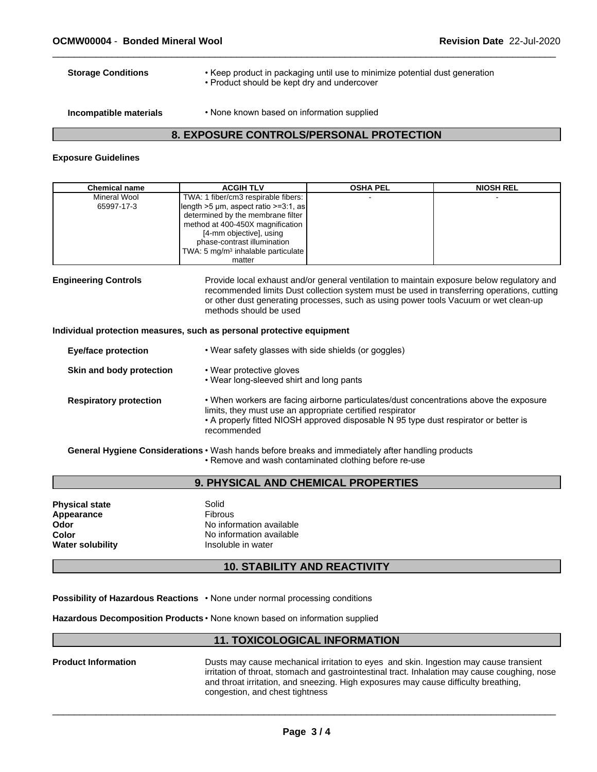- **Storage Conditions** Keep product in packaging until use to minimize potential dust generation
	- Product should be kept dry and undercover
- 
- **Incompatible materials** None known based on information supplied

# **8. EXPOSURE CONTROLS/PERSONAL PROTECTION**

#### **Exposure Guidelines**

| <b>Chemical name</b> | <b>ACGIH TLV</b>                                      | <b>OSHA PEL</b> | <b>NIOSH REL</b> |
|----------------------|-------------------------------------------------------|-----------------|------------------|
| Mineral Wool         | TWA: 1 fiber/cm3 respirable fibers:                   |                 |                  |
| 65997-17-3           | $\left  \right $ length >5 µm, aspect ratio >=3:1, as |                 |                  |
|                      | determined by the membrane filter                     |                 |                  |
|                      | method at 400-450X magnification                      |                 |                  |
|                      | [4-mm objective], using                               |                 |                  |
|                      | phase-contrast illumination                           |                 |                  |
|                      | TWA: 5 mg/m <sup>3</sup> inhalable particulate        |                 |                  |
|                      | matter                                                |                 |                  |

**Engineering Controls** Provide local exhaust and/or general ventilation to maintain exposure below regulatory and recommended limits Dust collection system must be used in transferring operations, cutting or other dust generating processes, such as using power tools Vacuum or wet clean-up methods should be used

#### **Individual protection measures, such as personal protective equipment**

| <b>Eye/face protection</b>    | • Wear safety glasses with side shields (or goggles)                                                                                                                                                                                                       |
|-------------------------------|------------------------------------------------------------------------------------------------------------------------------------------------------------------------------------------------------------------------------------------------------------|
| Skin and body protection      | • Wear protective gloves<br>• Wear long-sleeved shirt and long pants                                                                                                                                                                                       |
| <b>Respiratory protection</b> | . When workers are facing airborne particulates/dust concentrations above the exposure<br>limits, they must use an appropriate certified respirator<br>• A properly fitted NIOSH approved disposable N 95 type dust respirator or better is<br>recommended |
|                               | Associated the states of Association of Michaele because the state of the second state to a final second second state                                                                                                                                      |

**General Hygiene Considerations** •Washhandsbeforebreaksandimmediatelyafterhandlingproducts • Remove and wash contaminated clothing before re-use

#### **9. PHYSICAL AND CHEMICAL PROPERTIES**

| <b>Physical state</b><br>Appearance<br>Odor<br>Color<br><b>Water solubility</b> | Solid<br><b>Fibrous</b><br>No information available<br>No information available<br>Insoluble in water |  |
|---------------------------------------------------------------------------------|-------------------------------------------------------------------------------------------------------|--|
|---------------------------------------------------------------------------------|-------------------------------------------------------------------------------------------------------|--|

# **10. STABILITY AND REACTIVITY**

**Possibility of Hazardous Reactions • None under normal processing conditions** 

**Hazardous Decomposition Products • None known based on information supplied** 

#### **11. TOXICOLOGICAL INFORMATION**

| <b>Product Information</b> | Dusts may cause mechanical irritation to eyes and skin. Ingestion may cause transient         |
|----------------------------|-----------------------------------------------------------------------------------------------|
|                            | irritation of throat, stomach and gastrointestinal tract. Inhalation may cause coughing, nose |
|                            | and throat irritation, and sneezing. High exposures may cause difficulty breathing.           |
|                            | congestion, and chest tightness                                                               |

 $\overline{\phantom{a}}$  ,  $\overline{\phantom{a}}$  ,  $\overline{\phantom{a}}$  ,  $\overline{\phantom{a}}$  ,  $\overline{\phantom{a}}$  ,  $\overline{\phantom{a}}$  ,  $\overline{\phantom{a}}$  ,  $\overline{\phantom{a}}$  ,  $\overline{\phantom{a}}$  ,  $\overline{\phantom{a}}$  ,  $\overline{\phantom{a}}$  ,  $\overline{\phantom{a}}$  ,  $\overline{\phantom{a}}$  ,  $\overline{\phantom{a}}$  ,  $\overline{\phantom{a}}$  ,  $\overline{\phantom{a}}$